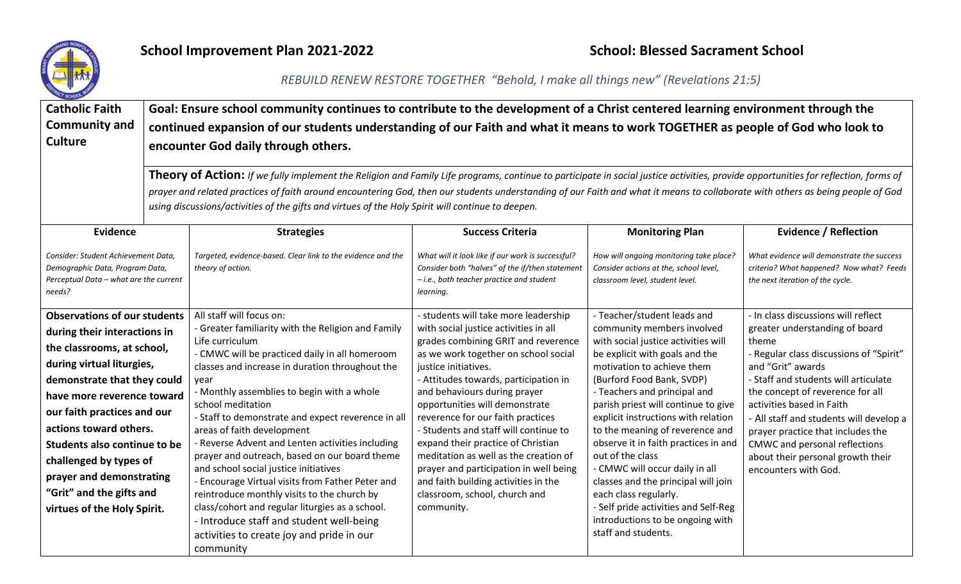

## **School Improvement Plan 2021-2022** School: Blessed Sacrament School: Blessed Sacrament School

## *REBUILD RENEW RESTORE TOGETHER "Behold, I make all things new" (Revelations 21:5)*

| <b>Catholic Faith</b><br><b>Community and</b><br><b>Culture</b>                                                            |  | Goal: Ensure school community continues to contribute to the development of a Christ centered learning environment through the<br>continued expansion of our students understanding of our Faith and what it means to work TOGETHER as people of God who look to<br>encounter God daily through others.<br><b>Theory of Action:</b> If we fully implement the Religion and Family Life programs, continue to participate in social justice activities, provide opportunities for reflection, forms of<br>prayer and related practices of faith around encountering God, then our students understanding of our Faith and what it means to collaborate with others as being people of God<br>using discussions/activities of the gifts and virtues of the Holy Spirit will continue to deepen. |                                                                                                                                                                |                                                                                                                      |                                                                                                                            |  |  |  |  |
|----------------------------------------------------------------------------------------------------------------------------|--|-----------------------------------------------------------------------------------------------------------------------------------------------------------------------------------------------------------------------------------------------------------------------------------------------------------------------------------------------------------------------------------------------------------------------------------------------------------------------------------------------------------------------------------------------------------------------------------------------------------------------------------------------------------------------------------------------------------------------------------------------------------------------------------------------|----------------------------------------------------------------------------------------------------------------------------------------------------------------|----------------------------------------------------------------------------------------------------------------------|----------------------------------------------------------------------------------------------------------------------------|--|--|--|--|
| <b>Evidence</b>                                                                                                            |  | <b>Strategies</b>                                                                                                                                                                                                                                                                                                                                                                                                                                                                                                                                                                                                                                                                                                                                                                             | <b>Success Criteria</b>                                                                                                                                        | <b>Monitoring Plan</b>                                                                                               | <b>Evidence / Reflection</b>                                                                                               |  |  |  |  |
| Consider: Student Achievement Data,<br>Demographic Data, Program Data,<br>Perceptual Data - what are the current<br>needs? |  | Targeted, evidence-based. Clear link to the evidence and the<br>theory of action.                                                                                                                                                                                                                                                                                                                                                                                                                                                                                                                                                                                                                                                                                                             | What will it look like if our work is successful?<br>Consider both "halves" of the if/then statement<br>- i.e., both teacher practice and student<br>learning. | How will ongoing monitoring take place?<br>Consider actions at the, school level,<br>classroom level, student level. | What evidence will demonstrate the success<br>criteria? What happened? Now what? Feeds<br>the next iteration of the cycle. |  |  |  |  |
| <b>Observations of our students</b>                                                                                        |  | All staff will focus on:                                                                                                                                                                                                                                                                                                                                                                                                                                                                                                                                                                                                                                                                                                                                                                      | - students will take more leadership                                                                                                                           | - Teacher/student leads and                                                                                          | In class discussions will reflect                                                                                          |  |  |  |  |
| during their interactions in                                                                                               |  | - Greater familiarity with the Religion and Family                                                                                                                                                                                                                                                                                                                                                                                                                                                                                                                                                                                                                                                                                                                                            | with social justice activities in all                                                                                                                          | community members involved                                                                                           | greater understanding of board                                                                                             |  |  |  |  |
| the classrooms, at school,                                                                                                 |  | Life curriculum<br>- CMWC will be practiced daily in all homeroom                                                                                                                                                                                                                                                                                                                                                                                                                                                                                                                                                                                                                                                                                                                             | grades combining GRIT and reverence<br>as we work together on school social                                                                                    | with social justice activities will<br>be explicit with goals and the                                                | theme<br>- Regular class discussions of "Spirit"                                                                           |  |  |  |  |
| during virtual liturgies,                                                                                                  |  | classes and increase in duration throughout the                                                                                                                                                                                                                                                                                                                                                                                                                                                                                                                                                                                                                                                                                                                                               | justice initiatives.                                                                                                                                           | motivation to achieve them                                                                                           | and "Grit" awards                                                                                                          |  |  |  |  |
| demonstrate that they could                                                                                                |  | year                                                                                                                                                                                                                                                                                                                                                                                                                                                                                                                                                                                                                                                                                                                                                                                          | - Attitudes towards, participation in                                                                                                                          | (Burford Food Bank, SVDP)                                                                                            | - Staff and students will articulate                                                                                       |  |  |  |  |
| have more reverence toward                                                                                                 |  | - Monthly assemblies to begin with a whole                                                                                                                                                                                                                                                                                                                                                                                                                                                                                                                                                                                                                                                                                                                                                    | and behaviours during prayer                                                                                                                                   | - Teachers and principal and                                                                                         | the concept of reverence for all                                                                                           |  |  |  |  |
| our faith practices and our                                                                                                |  | school meditation                                                                                                                                                                                                                                                                                                                                                                                                                                                                                                                                                                                                                                                                                                                                                                             | opportunities will demonstrate                                                                                                                                 | parish priest will continue to give                                                                                  | activities based in Faith                                                                                                  |  |  |  |  |
| actions toward others.                                                                                                     |  | - Staff to demonstrate and expect reverence in all<br>areas of faith development                                                                                                                                                                                                                                                                                                                                                                                                                                                                                                                                                                                                                                                                                                              | reverence for our faith practices<br>- Students and staff will continue to                                                                                     | explicit instructions with relation<br>to the meaning of reverence and                                               | - All staff and students will develop a<br>prayer practice that includes the                                               |  |  |  |  |
| Students also continue to be                                                                                               |  | - Reverse Advent and Lenten activities including                                                                                                                                                                                                                                                                                                                                                                                                                                                                                                                                                                                                                                                                                                                                              | expand their practice of Christian                                                                                                                             | observe it in faith practices in and                                                                                 | CMWC and personal reflections                                                                                              |  |  |  |  |
| challenged by types of                                                                                                     |  | prayer and outreach, based on our board theme                                                                                                                                                                                                                                                                                                                                                                                                                                                                                                                                                                                                                                                                                                                                                 | meditation as well as the creation of                                                                                                                          | out of the class                                                                                                     | about their personal growth their                                                                                          |  |  |  |  |
| prayer and demonstrating                                                                                                   |  | and school social justice initiatives<br>- Encourage Virtual visits from Father Peter and                                                                                                                                                                                                                                                                                                                                                                                                                                                                                                                                                                                                                                                                                                     | prayer and participation in well being                                                                                                                         | - CMWC will occur daily in all                                                                                       | encounters with God.                                                                                                       |  |  |  |  |
| "Grit" and the gifts and                                                                                                   |  | reintroduce monthly visits to the church by                                                                                                                                                                                                                                                                                                                                                                                                                                                                                                                                                                                                                                                                                                                                                   | and faith building activities in the<br>classroom, school, church and                                                                                          | classes and the principal will join<br>each class regularly.                                                         |                                                                                                                            |  |  |  |  |
| virtues of the Holy Spirit.                                                                                                |  | class/cohort and regular liturgies as a school.                                                                                                                                                                                                                                                                                                                                                                                                                                                                                                                                                                                                                                                                                                                                               | community.                                                                                                                                                     | - Self pride activities and Self-Reg                                                                                 |                                                                                                                            |  |  |  |  |
|                                                                                                                            |  | - Introduce staff and student well-being                                                                                                                                                                                                                                                                                                                                                                                                                                                                                                                                                                                                                                                                                                                                                      |                                                                                                                                                                | introductions to be ongoing with                                                                                     |                                                                                                                            |  |  |  |  |
|                                                                                                                            |  | activities to create joy and pride in our                                                                                                                                                                                                                                                                                                                                                                                                                                                                                                                                                                                                                                                                                                                                                     |                                                                                                                                                                | staff and students.                                                                                                  |                                                                                                                            |  |  |  |  |
|                                                                                                                            |  | community                                                                                                                                                                                                                                                                                                                                                                                                                                                                                                                                                                                                                                                                                                                                                                                     |                                                                                                                                                                |                                                                                                                      |                                                                                                                            |  |  |  |  |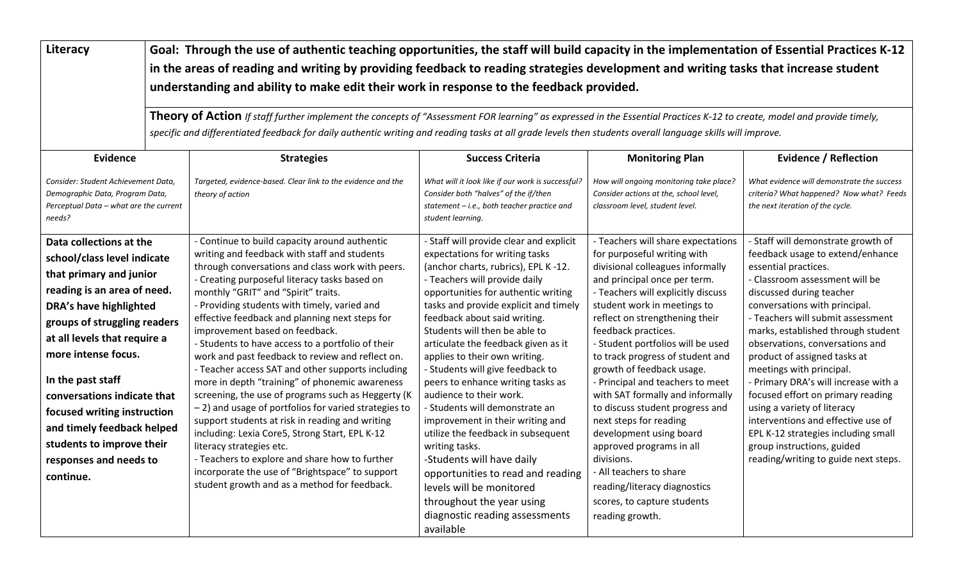**Literacy Goal: Through the use of authentic teaching opportunities, the staff will build capacity in the implementation of Essential Practices K-12 in the areas of reading and writing by providing feedback to reading strategies development and writing tasks that increase student understanding and ability to make edit their work in response to the feedback provided.**

> **Theory of Action** *If staff further implement the concepts of "Assessment FOR learning" as expressed in the Essential Practices K-12 to create, model and provide timely, specific and differentiated feedback for daily authentic writing and reading tasks at all grade levels then students overall language skills will improve.*

| Evidence                                                                                                                   | <b>Strategies</b>                                                                                 | <b>Success Criteria</b>                                                                                                                                        | <b>Monitoring Plan</b>                                                                                               | <b>Evidence / Reflection</b>                                                                                               |
|----------------------------------------------------------------------------------------------------------------------------|---------------------------------------------------------------------------------------------------|----------------------------------------------------------------------------------------------------------------------------------------------------------------|----------------------------------------------------------------------------------------------------------------------|----------------------------------------------------------------------------------------------------------------------------|
| Consider: Student Achievement Data,<br>Demographic Data, Program Data,<br>Perceptual Data - what are the current<br>needs? | Targeted, evidence-based. Clear link to the evidence and the<br>theory of action                  | What will it look like if our work is successful?<br>Consider both "halves" of the if/then<br>statement - i.e., both teacher practice and<br>student learning. | How will ongoing monitoring take place?<br>Consider actions at the, school level,<br>classroom level, student level. | What evidence will demonstrate the success<br>criteria? What happened? Now what? Feeds<br>the next iteration of the cycle. |
| Data collections at the                                                                                                    | - Continue to build capacity around authentic                                                     | - Staff will provide clear and explicit                                                                                                                        | - Teachers will share expectations<br>for purposeful writing with                                                    | - Staff will demonstrate growth of                                                                                         |
| school/class level indicate                                                                                                | writing and feedback with staff and students<br>through conversations and class work with peers.  | expectations for writing tasks<br>(anchor charts, rubrics), EPL K -12.                                                                                         | divisional colleagues informally                                                                                     | feedback usage to extend/enhance<br>essential practices.                                                                   |
| that primary and junior                                                                                                    | - Creating purposeful literacy tasks based on                                                     | - Teachers will provide daily                                                                                                                                  | and principal once per term.                                                                                         | - Classroom assessment will be                                                                                             |
| reading is an area of need.                                                                                                | monthly "GRIT" and "Spirit" traits.                                                               | opportunities for authentic writing                                                                                                                            | - Teachers will explicitly discuss                                                                                   | discussed during teacher                                                                                                   |
| <b>DRA's have highlighted</b>                                                                                              | - Providing students with timely, varied and                                                      | tasks and provide explicit and timely                                                                                                                          | student work in meetings to                                                                                          | conversations with principal.                                                                                              |
| groups of struggling readers                                                                                               | effective feedback and planning next steps for                                                    | feedback about said writing.                                                                                                                                   | reflect on strengthening their                                                                                       | - Teachers will submit assessment                                                                                          |
| at all levels that require a                                                                                               | improvement based on feedback.<br>- Students to have access to a portfolio of their               | Students will then be able to                                                                                                                                  | feedback practices.<br>- Student portfolios will be used                                                             | marks, established through student<br>observations, conversations and                                                      |
| more intense focus.                                                                                                        | work and past feedback to review and reflect on.                                                  | articulate the feedback given as it<br>applies to their own writing.                                                                                           | to track progress of student and                                                                                     | product of assigned tasks at                                                                                               |
|                                                                                                                            | - Teacher access SAT and other supports including                                                 | - Students will give feedback to                                                                                                                               | growth of feedback usage.                                                                                            | meetings with principal.                                                                                                   |
| In the past staff                                                                                                          | more in depth "training" of phonemic awareness                                                    | peers to enhance writing tasks as                                                                                                                              | - Principal and teachers to meet                                                                                     | - Primary DRA's will increase with a                                                                                       |
| conversations indicate that                                                                                                | screening, the use of programs such as Heggerty (K                                                | audience to their work.                                                                                                                                        | with SAT formally and informally                                                                                     | focused effort on primary reading                                                                                          |
| focused writing instruction                                                                                                | -2) and usage of portfolios for varied strategies to                                              | - Students will demonstrate an                                                                                                                                 | to discuss student progress and                                                                                      | using a variety of literacy                                                                                                |
| and timely feedback helped                                                                                                 | support students at risk in reading and writing<br>including: Lexia Core5, Strong Start, EPL K-12 | improvement in their writing and<br>utilize the feedback in subsequent                                                                                         | next steps for reading<br>development using board                                                                    | interventions and effective use of<br>EPL K-12 strategies including small                                                  |
| students to improve their                                                                                                  | literacy strategies etc.                                                                          | writing tasks.                                                                                                                                                 | approved programs in all                                                                                             | group instructions, guided                                                                                                 |
| responses and needs to                                                                                                     | - Teachers to explore and share how to further                                                    | -Students will have daily                                                                                                                                      | divisions.                                                                                                           | reading/writing to guide next steps.                                                                                       |
| continue.                                                                                                                  | incorporate the use of "Brightspace" to support                                                   | opportunities to read and reading                                                                                                                              | - All teachers to share                                                                                              |                                                                                                                            |
|                                                                                                                            | student growth and as a method for feedback.                                                      | levels will be monitored                                                                                                                                       | reading/literacy diagnostics                                                                                         |                                                                                                                            |
|                                                                                                                            |                                                                                                   | throughout the year using                                                                                                                                      | scores, to capture students                                                                                          |                                                                                                                            |
|                                                                                                                            |                                                                                                   | diagnostic reading assessments                                                                                                                                 | reading growth.                                                                                                      |                                                                                                                            |
|                                                                                                                            |                                                                                                   | available                                                                                                                                                      |                                                                                                                      |                                                                                                                            |